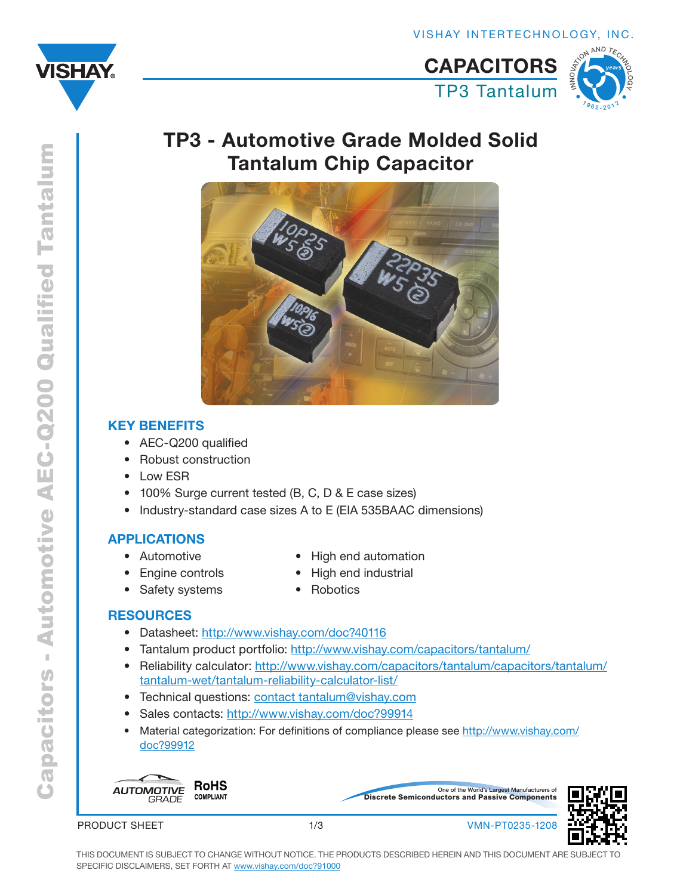<span id="page-0-0"></span>



# TP3 - Automotive Grade Molded Solid Tantalum Chip Capacitor



## KEY BENEFITS

- • AEC-Q200 qualified
- **Robust construction**
- Low ESR
- 100% Surge current tested (B, C,  $\overline{D}$  & E case sizes)
- Industry-standard case sizes A to E (EIA 535BAAC dimensions)

### APPLICATIONS

• Automotive

- High end automation
- High end industrial
- **Engine controls** • Safety systems
- **Robotics**

### **RESOURCES**

- Datasheet: <http://www.vishay.com/doc?40116>
- Tantalum product portfolio:<http://www.vishay.com/capacitors/tantalum/>
- Reliability calculator: [http://www.vishay.com/capacitors/tantalum/capacitors/tantalum/](http://www.vishay.com/capacitors/tantalum/capacitors/tantalum/tantalum-wet/tantalum-reliability-calculator-list/) [tantalum-wet/tantalum-reliability-calculator-list/](http://www.vishay.com/capacitors/tantalum/capacitors/tantalum/tantalum-wet/tantalum-reliability-calculator-list/)
- Technical questions: [contact tantalum@vishay.com](mailto:contact%20tantalum%40vishay.com?subject=)
- Sales contacts:<http://www.vishay.com/doc?99914>
- Material categorization: For definitions of compliance please see [http://www.vishay.com/](http://www.vishay.com/doc?99912) [doc?99912](http://www.vishay.com/doc?99912)



PRODUCT SHEET





1/3 VMN-PT0235-1208

THIS DOCUMENT IS SUBJECT TO CHANGE WITHOUT NOTICE. THE PRODUCTS DESCRIBED HEREIN AND THIS DOCUMENT ARE SUBJECT TO SPECIFIC DISCLAIMERS, SET FORTH AT [www.vishay.com/doc?91000](http://www.vishay.com/doc?91000)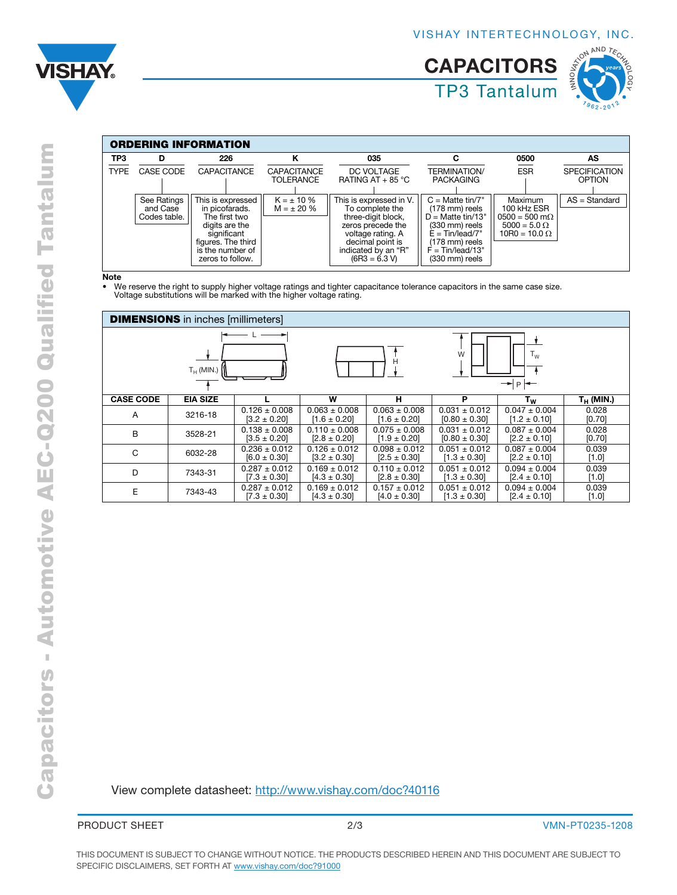



| <b>ORDERING INFORMATION</b> |                                         |                                                                                                                                                     |                                    |                                                                                                                                                                          |                                                                                                                                                              |                                                                                                  |                                |  |  |
|-----------------------------|-----------------------------------------|-----------------------------------------------------------------------------------------------------------------------------------------------------|------------------------------------|--------------------------------------------------------------------------------------------------------------------------------------------------------------------------|--------------------------------------------------------------------------------------------------------------------------------------------------------------|--------------------------------------------------------------------------------------------------|--------------------------------|--|--|
| TP3                         | D                                       | 226                                                                                                                                                 |                                    | 035                                                                                                                                                                      | С                                                                                                                                                            | 0500                                                                                             | AS                             |  |  |
| <b>TYPE</b>                 | <b>CASE CODE</b>                        | <b>CAPACITANCE</b>                                                                                                                                  | <b>CAPACITANCE</b><br>TOLERANCE    | DC VOLTAGE<br>RATING AT $+$ 85 °C                                                                                                                                        | <b>TERMINATION/</b><br><b>PACKAGING</b>                                                                                                                      | <b>ESR</b>                                                                                       | <b>SPECIFICATION</b><br>OPTION |  |  |
|                             | See Ratings<br>and Case<br>Codes table. | This is expressed<br>in picofarads.<br>The first two<br>digits are the<br>significant<br>figures. The third<br>is the number of<br>zeros to follow. | $K = \pm 10 \%$<br>$M = \pm 20 \%$ | This is expressed in V.<br>To complete the<br>three-digit block,<br>zeros precede the<br>voltage rating. A<br>decimal point is<br>indicated by an "R"<br>$(6R3 = 6.3 V)$ | $C =$ Matte tin/7"<br>(178 mm) reels<br>$D =$ Matte tin/13"<br>(330 mm) reels<br>$E = Tin/lead/7"$<br>(178 mm) reels<br>$F = Tin/lead/13"$<br>(330 mm) reels | Maximum<br>100 kHz ESR<br>$0500 = 500$ m $\Omega$<br>$5000 = 5.0 \Omega$<br>$10R0 = 10.0 \Omega$ | $AS = Standard$                |  |  |

**Note** 

• We reserve the right to supply higher voltage ratings and tighter capacitance tolerance capacitors in the same case size. Voltage substitutions will be marked with the higher voltage rating.

| <b>DIMENSIONS</b> in inches [millimeters] |                 |                   |                   |                   |                   |                                |              |  |  |
|-------------------------------------------|-----------------|-------------------|-------------------|-------------------|-------------------|--------------------------------|--------------|--|--|
|                                           |                 |                   |                   |                   |                   |                                |              |  |  |
|                                           |                 |                   |                   |                   |                   |                                |              |  |  |
|                                           |                 |                   |                   |                   |                   | W<br>$\mathsf{I}_{\mathsf{W}}$ |              |  |  |
| $T_H$ (MIN.) $\iiint$                     |                 |                   |                   |                   | P<br>↠            |                                |              |  |  |
|                                           |                 |                   |                   |                   |                   |                                |              |  |  |
| <b>CASE CODE</b>                          | <b>EIA SIZE</b> |                   | w                 | н                 | P                 | Tw                             | $T_H$ (MIN.) |  |  |
| A                                         | 3216-18         | $0.126 \pm 0.008$ | $0.063 \pm 0.008$ | $0.063 \pm 0.008$ | $0.031 \pm 0.012$ | $0.047 \pm 0.004$              | 0.028        |  |  |
|                                           |                 | $[3.2 \pm 0.20]$  | $[1.6 \pm 0.20]$  | $[1.6 \pm 0.20]$  | $[0.80 \pm 0.30]$ | $[1.2 \pm 0.10]$               | [0.70]       |  |  |
| B                                         | 3528-21         | $0.138 \pm 0.008$ | $0.110 \pm 0.008$ | $0.075 \pm 0.008$ | $0.031 \pm 0.012$ | $0.087 \pm 0.004$              | 0.028        |  |  |
|                                           |                 | $[3.5 \pm 0.20]$  | $[2.8 \pm 0.20]$  | $[1.9 \pm 0.20]$  | $[0.80 \pm 0.30]$ | $[2.2 \pm 0.10]$               | [0.70]       |  |  |
| C                                         | 6032-28         | $0.236 \pm 0.012$ | $0.126 \pm 0.012$ | $0.098 \pm 0.012$ | $0.051 \pm 0.012$ | $0.087 \pm 0.004$              | 0.039        |  |  |
|                                           |                 | $[6.0 \pm 0.30]$  | $[3.2 \pm 0.30]$  | $[2.5 \pm 0.30]$  | $[1.3 \pm 0.30]$  | $[2.2 \pm 0.10]$               | [1.0]        |  |  |
| D                                         | 7343-31         | $0.287 \pm 0.012$ | $0.169 \pm 0.012$ | $0.110 \pm 0.012$ | $0.051 \pm 0.012$ | $0.094 \pm 0.004$              | 0.039        |  |  |
|                                           |                 | $[7.3 \pm 0.30]$  | $[4.3 \pm 0.30]$  | $[2.8 \pm 0.30]$  | $[1.3 \pm 0.30]$  | $[2.4 \pm 0.10]$               | [1.0]        |  |  |
| E                                         | 7343-43         | $0.287 \pm 0.012$ | $0.169 \pm 0.012$ | $0.157 \pm 0.012$ | $0.051 \pm 0.012$ | $0.094 \pm 0.004$              | 0.039        |  |  |
|                                           |                 | $[7.3 \pm 0.30]$  | $[4.3 \pm 0.30]$  | $[4.0 \pm 0.30]$  | $[1.3 \pm 0.30]$  | $[2.4 \pm 0.10]$               | [1.0]        |  |  |

View complete datasheet: <http://www.vishay.com/doc?40116>

PRODUCT SHEET 2/3 2/3 VMN-PT0235-1208